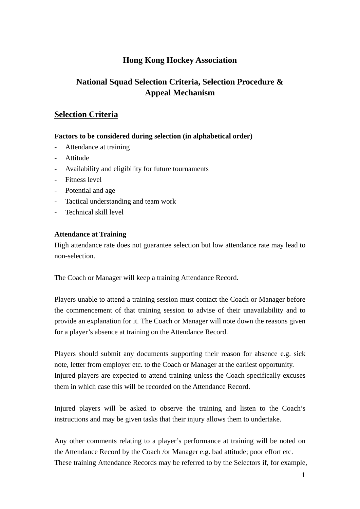# **Hong Kong Hockey Association**

# **National Squad Selection Criteria, Selection Procedure & Appeal Mechanism**

# **Selection Criteria**

#### **Factors to be considered during selection (in alphabetical order)**

- Attendance at training
- Attitude
- Availability and eligibility for future tournaments
- Fitness level
- Potential and age
- Tactical understanding and team work
- Technical skill level

## **Attendance at Training**

High attendance rate does not guarantee selection but low attendance rate may lead to non-selection.

The Coach or Manager will keep a training Attendance Record.

Players unable to attend a training session must contact the Coach or Manager before the commencement of that training session to advise of their unavailability and to provide an explanation for it. The Coach or Manager will note down the reasons given for a player's absence at training on the Attendance Record.

Players should submit any documents supporting their reason for absence e.g. sick note, letter from employer etc. to the Coach or Manager at the earliest opportunity. Injured players are expected to attend training unless the Coach specifically excuses them in which case this will be recorded on the Attendance Record.

Injured players will be asked to observe the training and listen to the Coach's instructions and may be given tasks that their injury allows them to undertake.

Any other comments relating to a player's performance at training will be noted on the Attendance Record by the Coach /or Manager e.g. bad attitude; poor effort etc. These training Attendance Records may be referred to by the Selectors if, for example,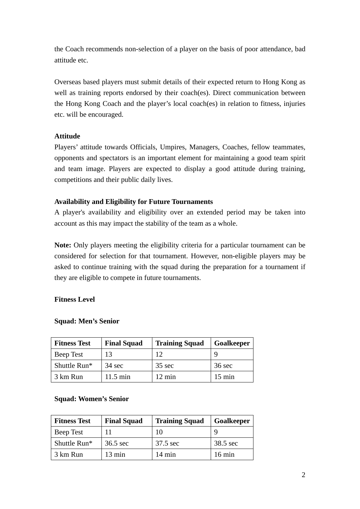the Coach recommends non-selection of a player on the basis of poor attendance, bad attitude etc.

Overseas based players must submit details of their expected return to Hong Kong as well as training reports endorsed by their coach(es). Direct communication between the Hong Kong Coach and the player's local coach(es) in relation to fitness, injuries etc. will be encouraged.

# **Attitude**

Players' attitude towards Officials, Umpires, Managers, Coaches, fellow teammates, opponents and spectators is an important element for maintaining a good team spirit and team image. Players are expected to display a good attitude during training, competitions and their public daily lives.

# **Availability and Eligibility for Future Tournaments**

A player's availability and eligibility over an extended period may be taken into account as this may impact the stability of the team as a whole.

**Note:** Only players meeting the eligibility criteria for a particular tournament can be considered for selection for that tournament. However, non-eligible players may be asked to continue training with the squad during the preparation for a tournament if they are eligible to compete in future tournaments.

## **Fitness Level**

| <b>Fitness Test</b> | <b>Final Squad</b> | <b>Training Squad</b> | Goalkeeper       |
|---------------------|--------------------|-----------------------|------------------|
| Beep Test           | 13                 | 12                    |                  |
| Shuttle Run*        | $34 \text{ sec}$   | $35 \text{ sec}$      | $36 \text{ sec}$ |
| 3 km Run            | $11.5 \text{ min}$ | 12 min                | 15 min           |

## **Squad: Men's Senior**

# **Squad: Women's Senior**

| <b>Fitness Test</b> | <b>Final Squad</b> | <b>Training Squad</b> | Goalkeeper       |
|---------------------|--------------------|-----------------------|------------------|
| Beep Test           |                    |                       |                  |
| Shuttle Run*        | 36.5 sec           | 37.5 sec              | 38.5 sec         |
| 3 km Run            | $13 \text{ min}$   | $14 \text{ min}$      | $16 \text{ min}$ |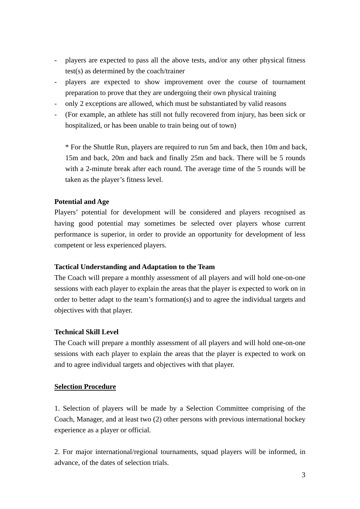- players are expected to pass all the above tests, and/or any other physical fitness test(s) as determined by the coach/trainer
- players are expected to show improvement over the course of tournament preparation to prove that they are undergoing their own physical training
- only 2 exceptions are allowed, which must be substantiated by valid reasons
- (For example, an athlete has still not fully recovered from injury, has been sick or hospitalized, or has been unable to train being out of town)

\* For the Shuttle Run, players are required to run 5m and back, then 10m and back, 15m and back, 20m and back and finally 25m and back. There will be 5 rounds with a 2-minute break after each round. The average time of the 5 rounds will be taken as the player's fitness level.

#### **Potential and Age**

Players' potential for development will be considered and players recognised as having good potential may sometimes be selected over players whose current performance is superior, in order to provide an opportunity for development of less competent or less experienced players.

#### **Tactical Understanding and Adaptation to the Team**

The Coach will prepare a monthly assessment of all players and will hold one-on-one sessions with each player to explain the areas that the player is expected to work on in order to better adapt to the team's formation(s) and to agree the individual targets and objectives with that player.

#### **Technical Skill Level**

The Coach will prepare a monthly assessment of all players and will hold one-on-one sessions with each player to explain the areas that the player is expected to work on and to agree individual targets and objectives with that player.

#### **Selection Procedure**

1. Selection of players will be made by a Selection Committee comprising of the Coach, Manager, and at least two (2) other persons with previous international hockey experience as a player or official.

2. For major international/regional tournaments, squad players will be informed, in advance, of the dates of selection trials.